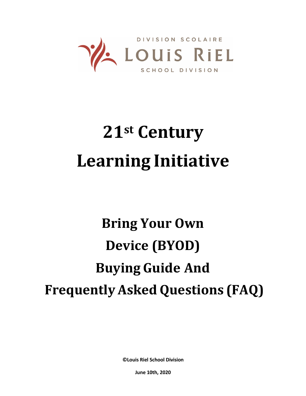

# **21st Century Learning Initiative**

## **Bring Your Own Device (BYOD) Buying Guide And Frequently Asked Questions (FAQ)**

**©Louis Riel School Division**

**June 10th, 2020**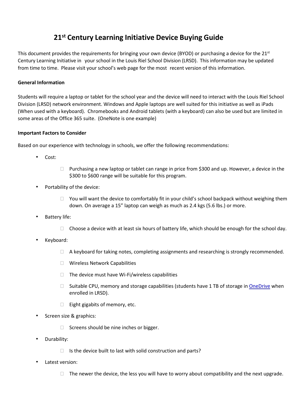### **21st Century Learning Initiative Device Buying Guide**

This document provides the requirements for bringing your own device (BYOD) or purchasing a device for the  $21<sup>st</sup>$ Century Learning Initiative in your school in the Louis Riel School Division (LRSD). This information may be updated from time to time. Please visit your school's web page for the most recent version of this information.

#### **General Information**

Students will require a laptop or tablet for the school year and the device will need to interact with the Louis Riel School Division (LRSD) network environment. Windows and Apple laptops are well suited for this initiative as well as iPads (When used with a keyboard). Chromebooks and Android tablets (with a keyboard) can also be used but are limited in some areas of the Office 365 suite. (OneNote is one example)

#### **Important Factors to Consider**

Based on our experience with technology in schools, we offer the following recommendations:

- Cost:
- $\Box$  Purchasing a new laptop or tablet can range in price from \$300 and up. However, a device in the \$300 to \$600 range will be suitable for this program.
- Portability of the device:
	- $\Box$  You will want the device to comfortably fit in your child's school backpack without weighing them down. On average a 15" laptop can weigh as much as 2.4 kgs (5.6 lbs.) or more.
- Battery life:
	- $\Box$  Choose a device with at least six hours of battery life, which should be enough for the school day.
- Keyboard:
	- $\Box$  A keyboard for taking notes, completing assignments and researching is strongly recommended.
	- Wireless Network Capabilities
	- $\Box$  The device must have Wi-Fi/wireless capabilities
	- $\square$  Suitable CPU, memory and storage capabilities (students have 1 TB of storage i[n OneDrive](https://support.office.com/en-us/article/get-started-with-onedrive-work-or-school-b30da4eb-ddd2-44b6-943b-e6fbfc6b8dde) when enrolled in LRSD).
	- $\Box$  Eight gigabits of memory, etc.
- Screen size & graphics:
	- $\Box$  Screens should be nine inches or bigger.
- Durability:
	- $\Box$  Is the device built to last with solid construction and parts?
- Latest version:
	- $\Box$  The newer the device, the less you will have to worry about compatibility and the next upgrade.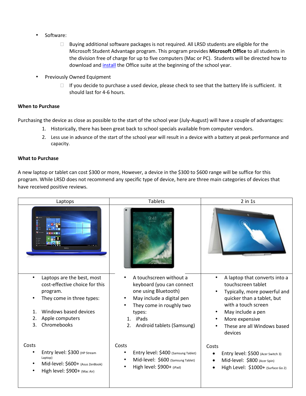- Software:
	- $\Box$  Buying additional software packages is not required. All LRSD students are eligible for the Microsoft Student Advantage program. This program provides **Microsoft Office** to all students in the division free of charge for up to five computers (Mac or PC). Students will be directed how to download and [install](https://portal.office.com/) the Office suite at the beginning of the school year.
- Previously Owned Equipment
	- $\Box$  If you decide to purchase a used device, please check to see that the battery life is sufficient. It should last for 4-6 hours.

#### **When to Purchase**

Purchasing the device as close as possible to the start of the school year (July-August) will have a couple of advantages:

- 1. Historically, there has been great back to school specials available from computer vendors.
- 2. Less use in advance of the start of the school year will result in a device with a battery at peak performance and capacity.

#### **What to Purchase**

A new laptop or tablet can cost \$300 or more, However, a device in the \$300 to \$600 range will be suffice for this program. While LRSD does not recommend any specific type of device, here are three main categories of devices that have received positive reviews.

| Laptops                                                                                                                                                                                                     | <b>Tablets</b>                                                                                                                                                                                    | $2$ in $1s$                                                                                                                                                                                                               |
|-------------------------------------------------------------------------------------------------------------------------------------------------------------------------------------------------------------|---------------------------------------------------------------------------------------------------------------------------------------------------------------------------------------------------|---------------------------------------------------------------------------------------------------------------------------------------------------------------------------------------------------------------------------|
|                                                                                                                                                                                                             |                                                                                                                                                                                                   |                                                                                                                                                                                                                           |
| Laptops are the best, most<br>$\bullet$<br>cost-effective choice for this<br>program.<br>They come in three types:<br>Windows based devices<br>$\mathbf{1}$ .<br>2.<br>Apple computers<br>3.<br>Chromebooks | A touchscreen without a<br>keyboard (you can connect<br>one using Bluetooth)<br>May include a digital pen<br>They come in roughly two<br>types:<br>iPads<br>1.<br>Android tablets (Samsung)<br>2. | A laptop that converts into a<br>touchscreen tablet<br>Typically, more powerful and<br>quicker than a tablet, but<br>with a touch screen<br>May include a pen<br>More expensive<br>These are all Windows based<br>devices |
| Costs<br>Entry level: \$300 (HP Stream<br>Laptop)<br>Mid-level: \$600+ (Asus ZenBook)<br>High level: \$900+ (Mac Air)                                                                                       | Costs<br>Entry level: \$400 (Samsung Tablet)<br>٠<br>Mid-level: \$600 (Samsung Tablet)<br>High level: \$900+ (iPad)                                                                               | Costs<br>Entry level: \$500 (Acer Switch 3)<br>$\bullet$<br>Mid-level: \$800 (Acer Spin)<br>$\bullet$<br>High Level: \$1000+ (Surface Go 2)                                                                               |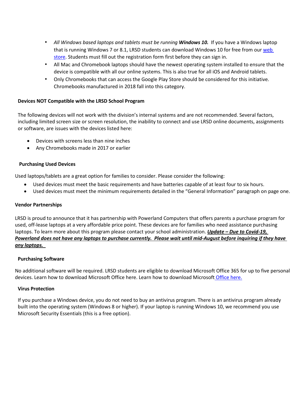- All Windows based laptops and tablets must be running **Windows 10.** If you have a Windows laptop that is running Windows 7 or 8.1, LRSD students can download Windows 10 for free from ou[r web](https://lrsd.onthehub.com/)  [store.](https://lrsd.onthehub.com/) Students must fill out the registration form first before they can sign in.
- All Mac and Chromebook laptops should have the newest operating system installed to ensure that the device is compatible with all our online systems. This is also true for all iOS and Android tablets.
- Only Chromebooks that can access the Google Play Store should be considered for this initiative. Chromebooks manufactured in 2018 fall into this category.

#### **Devices NOT Compatible with the LRSD School Program**

The following devices will not work with the division's internal systems and are not recommended. Several factors, including limited screen size or screen resolution, the inability to connect and use LRSD online documents, assignments or software, are issues with the devices listed here:

- Devices with screens less than nine inches
- Any Chromebooks made in 2017 or earlier

#### **Purchasing Used Devices**

Used laptops/tablets are a great option for families to consider. Please consider the following:

- Used devices must meet the basic requirements and have batteries capable of at least four to six hours.
- Used devices must meet the minimum requirements detailed in the "General Information" paragraph on page one.

#### **Vendor Partnerships**

LRSD is proud to announce that it has partnership with Powerland Computers that offers parents a purchase program for used, off-lease laptops at a very affordable price point. These devices are for families who need assistance purchasing laptops. To learn more about this program please contact your school administration. *Update – Due to Covid-19, Powerland does not have any laptops to purchase currently. Please wait until mid-August before inquiring if they have any laptops.* 

#### **Purchasing Software**

No additional software will be required. LRSD students are eligible to download Microsoft Office 365 for up to five personal devices. Learn how to download Microsoft Office here[. Learn how to download Microsoft](https://www.lrsd.net/schools/DCI/News/Pages/Office-for-Students.aspx) Office here.

#### **Virus Protection**

If you purchase a Windows device, you do not need to buy an antivirus program. There is an antivirus program already built into the operating system (Windows 8 or higher). If your laptop is running Windows 10, we recommend you use Microsoft Security Essentials (this is a free option).